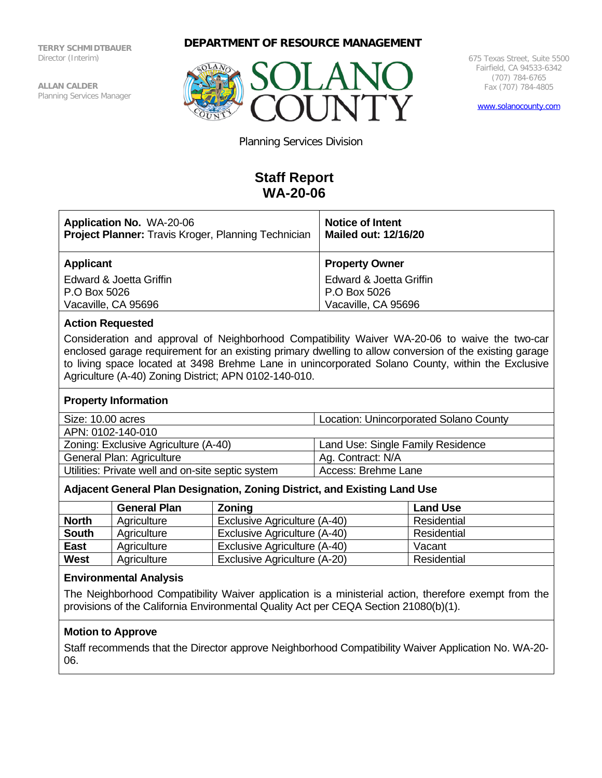**TERRY SCHMIDTBAUER** Director (Interim)

**ALLAN CALDER** Planning Services Manager





675 Texas Street, Suite 5500 Fairfield, CA 94533-6342 (707) 784-6765 Fax (707) 784-4805

[www.solanocounty.com](http://www.solanocounty.com/)

Planning Services Division

# **Staff Report WA-20-06**

| <b>Application No. WA-20-06</b><br><b>Project Planner:</b> Travis Kroger, Planning Technician | <b>Notice of Intent</b><br><b>Mailed out: 12/16/20</b> |  |
|-----------------------------------------------------------------------------------------------|--------------------------------------------------------|--|
| <b>Applicant</b>                                                                              | <b>Property Owner</b>                                  |  |
| Edward & Joetta Griffin                                                                       | Edward & Joetta Griffin                                |  |
| P.O Box 5026                                                                                  | P.O Box 5026                                           |  |
| Vacaville, CA 95696                                                                           | Vacaville, CA 95696                                    |  |

# **Action Requested**

Consideration and approval of Neighborhood Compatibility Waiver WA-20-06 to waive the two-car enclosed garage requirement for an existing primary dwelling to allow conversion of the existing garage to living space located at 3498 Brehme Lane in unincorporated Solano County, within the Exclusive Agriculture (A-40) Zoning District; APN 0102-140-010.

#### **Property Information**

| Size: 10.00 acres                                 | <b>Location: Unincorporated Solano County</b> |  |
|---------------------------------------------------|-----------------------------------------------|--|
| APN: 0102-140-010                                 |                                               |  |
| Zoning: Exclusive Agriculture (A-40)              | Land Use: Single Family Residence             |  |
| General Plan: Agriculture                         | Ag. Contract: N/A                             |  |
| Utilities: Private well and on-site septic system | Access: Brehme Lane                           |  |

## **Adjacent General Plan Designation, Zoning District, and Existing Land Use**

|              | <b>General Plan</b> | <b>Zoning</b>                | <b>Land Use</b> |
|--------------|---------------------|------------------------------|-----------------|
| <b>North</b> | Agriculture         | Exclusive Agriculture (A-40) | Residential     |
| <b>South</b> | Agriculture         | Exclusive Agriculture (A-40) | Residential     |
| East         | Agriculture         | Exclusive Agriculture (A-40) | Vacant          |
| <b>West</b>  | Agriculture         | Exclusive Agriculture (A-20) | Residential     |

#### **Environmental Analysis**

The Neighborhood Compatibility Waiver application is a ministerial action, therefore exempt from the provisions of the California Environmental Quality Act per CEQA Section 21080(b)(1).

## **Motion to Approve**

Staff recommends that the Director approve Neighborhood Compatibility Waiver Application No. WA-20- 06.